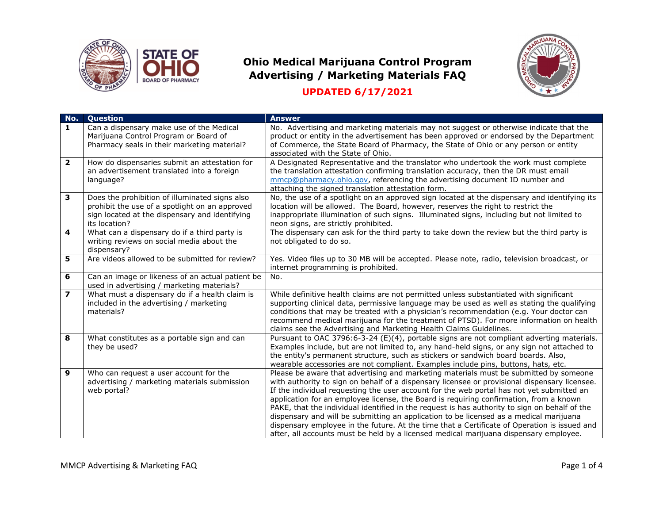



| No.                     | <b>Ouestion</b>                                                                                                                                                     | <b>Answer</b>                                                                                                                                                                                                                                                                                                                                                                                                                                                                                                                                                                                                                                                                                                                                                     |
|-------------------------|---------------------------------------------------------------------------------------------------------------------------------------------------------------------|-------------------------------------------------------------------------------------------------------------------------------------------------------------------------------------------------------------------------------------------------------------------------------------------------------------------------------------------------------------------------------------------------------------------------------------------------------------------------------------------------------------------------------------------------------------------------------------------------------------------------------------------------------------------------------------------------------------------------------------------------------------------|
| 1                       | Can a dispensary make use of the Medical<br>Marijuana Control Program or Board of<br>Pharmacy seals in their marketing material?                                    | No. Advertising and marketing materials may not suggest or otherwise indicate that the<br>product or entity in the advertisement has been approved or endorsed by the Department<br>of Commerce, the State Board of Pharmacy, the State of Ohio or any person or entity<br>associated with the State of Ohio.                                                                                                                                                                                                                                                                                                                                                                                                                                                     |
| $\mathbf{2}$            | How do dispensaries submit an attestation for<br>an advertisement translated into a foreign<br>language?                                                            | A Designated Representative and the translator who undertook the work must complete<br>the translation attestation confirming translation accuracy, then the DR must email<br>mmcp@pharmacy.ohio.gov, referencing the advertising document ID number and<br>attaching the signed translation attestation form.                                                                                                                                                                                                                                                                                                                                                                                                                                                    |
| 3                       | Does the prohibition of illuminated signs also<br>prohibit the use of a spotlight on an approved<br>sign located at the dispensary and identifying<br>its location? | No, the use of a spotlight on an approved sign located at the dispensary and identifying its<br>location will be allowed. The Board, however, reserves the right to restrict the<br>inappropriate illumination of such signs. Illuminated signs, including but not limited to<br>neon signs, are strictly prohibited.                                                                                                                                                                                                                                                                                                                                                                                                                                             |
| 4                       | What can a dispensary do if a third party is<br>writing reviews on social media about the<br>dispensary?                                                            | The dispensary can ask for the third party to take down the review but the third party is<br>not obligated to do so.                                                                                                                                                                                                                                                                                                                                                                                                                                                                                                                                                                                                                                              |
| 5                       | Are videos allowed to be submitted for review?                                                                                                                      | Yes. Video files up to 30 MB will be accepted. Please note, radio, television broadcast, or<br>internet programming is prohibited.                                                                                                                                                                                                                                                                                                                                                                                                                                                                                                                                                                                                                                |
| 6                       | Can an image or likeness of an actual patient be<br>used in advertising / marketing materials?                                                                      | No.                                                                                                                                                                                                                                                                                                                                                                                                                                                                                                                                                                                                                                                                                                                                                               |
| $\overline{\mathbf{z}}$ | What must a dispensary do if a health claim is<br>included in the advertising / marketing<br>materials?                                                             | While definitive health claims are not permitted unless substantiated with significant<br>supporting clinical data, permissive language may be used as well as stating the qualifying<br>conditions that may be treated with a physician's recommendation (e.g. Your doctor can<br>recommend medical marijuana for the treatment of PTSD). For more information on health<br>claims see the Advertising and Marketing Health Claims Guidelines.                                                                                                                                                                                                                                                                                                                   |
| 8                       | What constitutes as a portable sign and can<br>they be used?                                                                                                        | Pursuant to OAC 3796:6-3-24 (E)(4), portable signs are not compliant adverting materials.<br>Examples include, but are not limited to, any hand-held signs, or any sign not attached to<br>the entity's permanent structure, such as stickers or sandwich board boards. Also,<br>wearable accessories are not compliant. Examples include pins, buttons, hats, etc.                                                                                                                                                                                                                                                                                                                                                                                               |
| 9                       | Who can request a user account for the<br>advertising / marketing materials submission<br>web portal?                                                               | Please be aware that advertising and marketing materials must be submitted by someone<br>with authority to sign on behalf of a dispensary licensee or provisional dispensary licensee.<br>If the individual requesting the user account for the web portal has not yet submitted an<br>application for an employee license, the Board is requiring confirmation, from a known<br>PAKE, that the individual identified in the request is has authority to sign on behalf of the<br>dispensary and will be submitting an application to be licensed as a medical marijuana<br>dispensary employee in the future. At the time that a Certificate of Operation is issued and<br>after, all accounts must be held by a licensed medical marijuana dispensary employee. |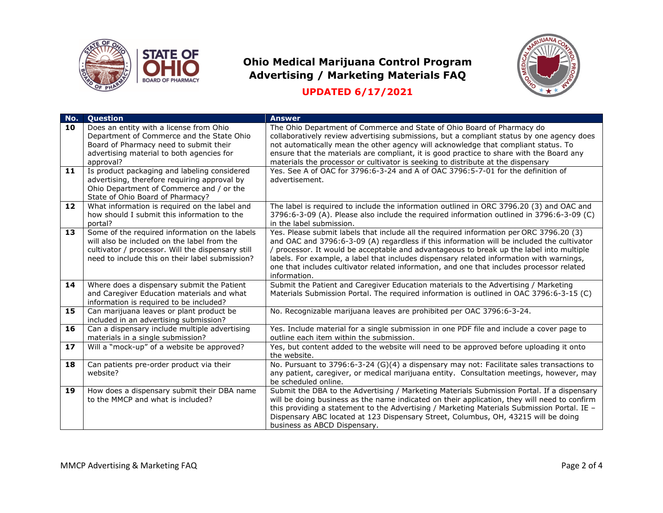



| No.      | <b>Question</b>                                                                                                                                                                                                                          | <b>Answer</b>                                                                                                                                                                                                                                                                                                                                                                                                                                                                                                                 |
|----------|------------------------------------------------------------------------------------------------------------------------------------------------------------------------------------------------------------------------------------------|-------------------------------------------------------------------------------------------------------------------------------------------------------------------------------------------------------------------------------------------------------------------------------------------------------------------------------------------------------------------------------------------------------------------------------------------------------------------------------------------------------------------------------|
| 10<br>11 | Does an entity with a license from Ohio<br>Department of Commerce and the State Ohio<br>Board of Pharmacy need to submit their<br>advertising material to both agencies for<br>approval?<br>Is product packaging and labeling considered | The Ohio Department of Commerce and State of Ohio Board of Pharmacy do<br>collaboratively review advertising submissions, but a compliant status by one agency does<br>not automatically mean the other agency will acknowledge that compliant status. To<br>ensure that the materials are compliant, it is good practice to share with the Board any<br>materials the processor or cultivator is seeking to distribute at the dispensary<br>Yes. See A of OAC for 3796:6-3-24 and A of OAC 3796:5-7-01 for the definition of |
|          | advertising, therefore requiring approval by<br>Ohio Department of Commerce and / or the<br>State of Ohio Board of Pharmacy?                                                                                                             | advertisement.                                                                                                                                                                                                                                                                                                                                                                                                                                                                                                                |
| 12       | What information is required on the label and<br>how should I submit this information to the<br>portal?                                                                                                                                  | The label is required to include the information outlined in ORC 3796.20 (3) and OAC and<br>3796:6-3-09 (A). Please also include the required information outlined in 3796:6-3-09 (C)<br>in the label submission.                                                                                                                                                                                                                                                                                                             |
| 13       | Some of the required information on the labels<br>will also be included on the label from the<br>cultivator / processor. Will the dispensary still<br>need to include this on their label submission?                                    | Yes. Please submit labels that include all the required information per ORC 3796.20 (3)<br>and OAC and 3796:6-3-09 (A) regardless if this information will be included the cultivator<br>/ processor. It would be acceptable and advantageous to break up the label into multiple<br>labels. For example, a label that includes dispensary related information with warnings,<br>one that includes cultivator related information, and one that includes processor related<br>information.                                    |
| 14       | Where does a dispensary submit the Patient<br>and Caregiver Education materials and what<br>information is required to be included?                                                                                                      | Submit the Patient and Caregiver Education materials to the Advertising / Marketing<br>Materials Submission Portal. The required information is outlined in OAC 3796:6-3-15 (C)                                                                                                                                                                                                                                                                                                                                               |
| 15       | Can marijuana leaves or plant product be<br>included in an advertising submission?                                                                                                                                                       | No. Recognizable marijuana leaves are prohibited per OAC 3796:6-3-24.                                                                                                                                                                                                                                                                                                                                                                                                                                                         |
| 16       | Can a dispensary include multiple advertising<br>materials in a single submission?                                                                                                                                                       | Yes. Include material for a single submission in one PDF file and include a cover page to<br>outline each item within the submission.                                                                                                                                                                                                                                                                                                                                                                                         |
| 17       | Will a "mock-up" of a website be approved?                                                                                                                                                                                               | Yes, but content added to the website will need to be approved before uploading it onto<br>the website.                                                                                                                                                                                                                                                                                                                                                                                                                       |
| 18       | Can patients pre-order product via their<br>website?                                                                                                                                                                                     | No. Pursuant to 3796:6-3-24 (G)(4) a dispensary may not: Facilitate sales transactions to<br>any patient, caregiver, or medical marijuana entity. Consultation meetings, however, may<br>be scheduled online.                                                                                                                                                                                                                                                                                                                 |
| 19       | How does a dispensary submit their DBA name<br>to the MMCP and what is included?                                                                                                                                                         | Submit the DBA to the Advertising / Marketing Materials Submission Portal. If a dispensary<br>will be doing business as the name indicated on their application, they will need to confirm<br>this providing a statement to the Advertising / Marketing Materials Submission Portal. IE -<br>Dispensary ABC located at 123 Dispensary Street, Columbus, OH, 43215 will be doing<br>business as ABCD Dispensary.                                                                                                               |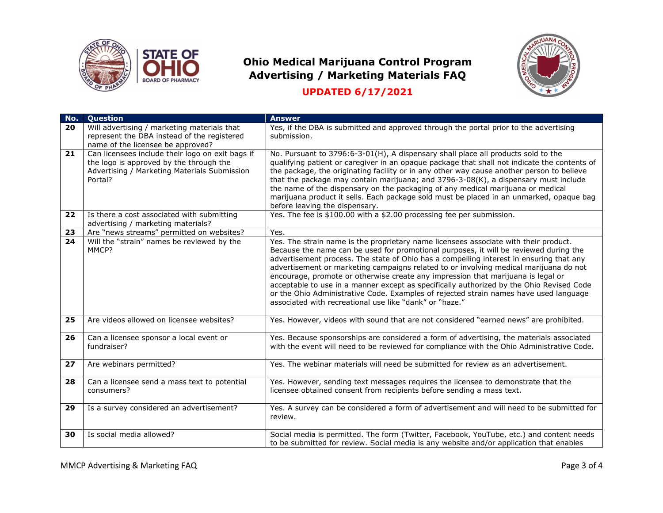



| No. | <b>Ouestion</b>                                                                                                                                        | <b>Answer</b>                                                                                                                                                                                                                                                                                                                                                                                                                                                                                                                                                                                                                                                                                         |
|-----|--------------------------------------------------------------------------------------------------------------------------------------------------------|-------------------------------------------------------------------------------------------------------------------------------------------------------------------------------------------------------------------------------------------------------------------------------------------------------------------------------------------------------------------------------------------------------------------------------------------------------------------------------------------------------------------------------------------------------------------------------------------------------------------------------------------------------------------------------------------------------|
| 20  | Will advertising / marketing materials that<br>represent the DBA instead of the registered<br>name of the licensee be approved?                        | Yes, if the DBA is submitted and approved through the portal prior to the advertising<br>submission.                                                                                                                                                                                                                                                                                                                                                                                                                                                                                                                                                                                                  |
| 21  | Can licensees include their logo on exit bags if<br>the logo is approved by the through the<br>Advertising / Marketing Materials Submission<br>Portal? | No. Pursuant to 3796:6-3-01(H), A dispensary shall place all products sold to the<br>qualifying patient or caregiver in an opaque package that shall not indicate the contents of<br>the package, the originating facility or in any other way cause another person to believe<br>that the package may contain marijuana; and 3796-3-08(K), a dispensary must include<br>the name of the dispensary on the packaging of any medical marijuana or medical<br>marijuana product it sells. Each package sold must be placed in an unmarked, opaque bag<br>before leaving the dispensary.                                                                                                                 |
| 22  | Is there a cost associated with submitting<br>advertising / marketing materials?                                                                       | Yes. The fee is \$100.00 with a \$2.00 processing fee per submission.                                                                                                                                                                                                                                                                                                                                                                                                                                                                                                                                                                                                                                 |
| 23  | Are "news streams" permitted on websites?                                                                                                              | Yes.                                                                                                                                                                                                                                                                                                                                                                                                                                                                                                                                                                                                                                                                                                  |
| 24  | Will the "strain" names be reviewed by the<br>MMCP?                                                                                                    | Yes. The strain name is the proprietary name licensees associate with their product.<br>Because the name can be used for promotional purposes, it will be reviewed during the<br>advertisement process. The state of Ohio has a compelling interest in ensuring that any<br>advertisement or marketing campaigns related to or involving medical marijuana do not<br>encourage, promote or otherwise create any impression that marijuana is legal or<br>acceptable to use in a manner except as specifically authorized by the Ohio Revised Code<br>or the Ohio Administrative Code. Examples of rejected strain names have used language<br>associated with recreational use like "dank" or "haze." |
| 25  | Are videos allowed on licensee websites?                                                                                                               | Yes. However, videos with sound that are not considered "earned news" are prohibited.                                                                                                                                                                                                                                                                                                                                                                                                                                                                                                                                                                                                                 |
| 26  | Can a licensee sponsor a local event or<br>fundraiser?                                                                                                 | Yes. Because sponsorships are considered a form of advertising, the materials associated<br>with the event will need to be reviewed for compliance with the Ohio Administrative Code.                                                                                                                                                                                                                                                                                                                                                                                                                                                                                                                 |
| 27  | Are webinars permitted?                                                                                                                                | Yes. The webinar materials will need be submitted for review as an advertisement.                                                                                                                                                                                                                                                                                                                                                                                                                                                                                                                                                                                                                     |
| 28  | Can a licensee send a mass text to potential<br>consumers?                                                                                             | Yes. However, sending text messages requires the licensee to demonstrate that the<br>licensee obtained consent from recipients before sending a mass text.                                                                                                                                                                                                                                                                                                                                                                                                                                                                                                                                            |
| 29  | Is a survey considered an advertisement?                                                                                                               | Yes. A survey can be considered a form of advertisement and will need to be submitted for<br>review.                                                                                                                                                                                                                                                                                                                                                                                                                                                                                                                                                                                                  |
| 30  | Is social media allowed?                                                                                                                               | Social media is permitted. The form (Twitter, Facebook, YouTube, etc.) and content needs<br>to be submitted for review. Social media is any website and/or application that enables                                                                                                                                                                                                                                                                                                                                                                                                                                                                                                                   |